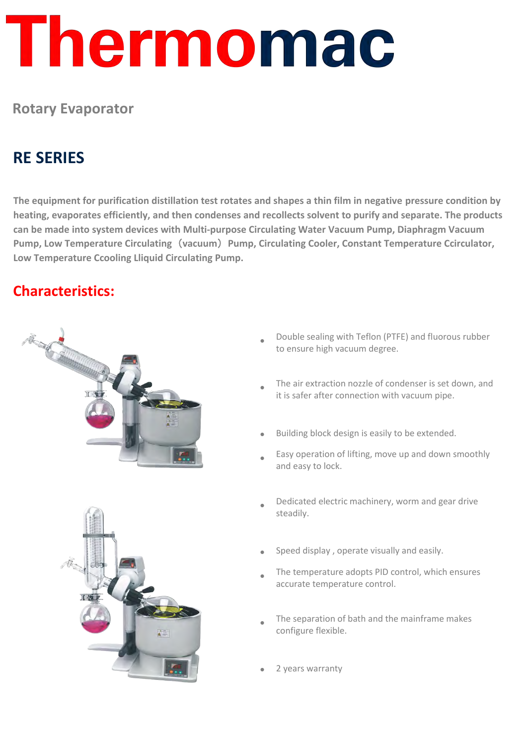# Thermomac

#### **Rotary Evaporator**

### **RE SERIES**

**The equipment for purification distillation test rotates and shapes a thin film in negative pressure condition by heating, evaporates efficiently, and then condenses and recollects solvent to purify and separate. The products can be made into system devices with Multi-purpose Circulating Water Vacuum Pump, Diaphragm Vacuum Pump, Low Temperature Circulating**(**vacuum**)**Pump, Circulating Cooler, Constant Temperature Ccirculator, Low Temperature Ccooling Lliquid Circulating Pump.** 

#### **Characteristics:**





- Double sealing with Teflon (PTFE) and fluorous rubber to ensure high vacuum degree.
- The air extraction nozzle of condenser is set down, and it is safer after connection with vacuum pipe.
- Building block design is easily to be extended.
- Easy operation of lifting, move up and down smoothly and easy to lock.
- Dedicated electric machinery, worm and gear drive steadily.
- Speed display, operate visually and easily.
- The temperature adopts PID control, which ensures accurate temperature control.
- The separation of bath and the mainframe makes configure flexible.
- 2 years warranty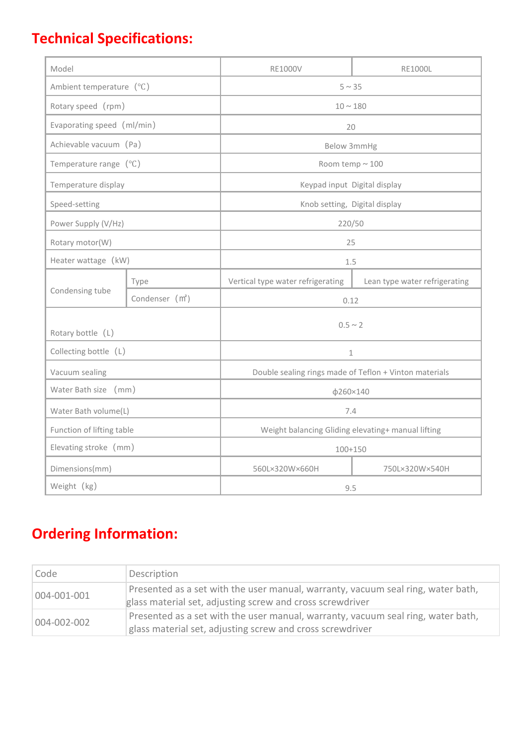## **Technical Specifications:**

| Model                      |                             | <b>RE1000V</b>                                         | <b>RE1000L</b>                |
|----------------------------|-----------------------------|--------------------------------------------------------|-------------------------------|
| Ambient temperature (°C)   |                             | $5 \sim 35$                                            |                               |
| Rotary speed (rpm)         |                             | $10 \sim 180$                                          |                               |
| Evaporating speed (ml/min) |                             | 20                                                     |                               |
| Achievable vacuum (Pa)     |                             | Below 3mmHg                                            |                               |
| Temperature range $(°C)$   |                             | Room temp $\sim$ 100                                   |                               |
| Temperature display        |                             | Keypad input Digital display                           |                               |
| Speed-setting              |                             | Knob setting, Digital display                          |                               |
| Power Supply (V/Hz)        |                             | 220/50                                                 |                               |
| Rotary motor(W)            |                             | 25                                                     |                               |
| Heater wattage (kW)        |                             | 1.5                                                    |                               |
| Condensing tube            | Type                        | Vertical type water refrigerating                      | Lean type water refrigerating |
|                            | Condenser (m <sup>2</sup> ) | 0.12                                                   |                               |
| Rotary bottle (L)          |                             | $0.5 \sim 2$                                           |                               |
| Collecting bottle (L)      |                             | $\mathbf{1}$                                           |                               |
| Vacuum sealing             |                             | Double sealing rings made of Teflon + Vinton materials |                               |
| Water Bath size (mm)       |                             | φ260×140                                               |                               |
| Water Bath volume(L)       |                             | 7.4                                                    |                               |
| Function of lifting table  |                             | Weight balancing Gliding elevating+ manual lifting     |                               |
| Elevating stroke (mm)      |                             | $100 + 150$                                            |                               |
| Dimensions(mm)             |                             | 560L×320W×660H                                         | 750L×320W×540H                |
| Weight (kg)                |                             | 9.5                                                    |                               |

# **Ordering Information:**

| Code        | Description                                                                                                                                   |  |
|-------------|-----------------------------------------------------------------------------------------------------------------------------------------------|--|
| 004-001-001 | Presented as a set with the user manual, warranty, vacuum seal ring, water bath,<br>glass material set, adjusting screw and cross screwdriver |  |
| 004-002-002 | Presented as a set with the user manual, warranty, vacuum seal ring, water bath,<br>glass material set, adjusting screw and cross screwdriver |  |